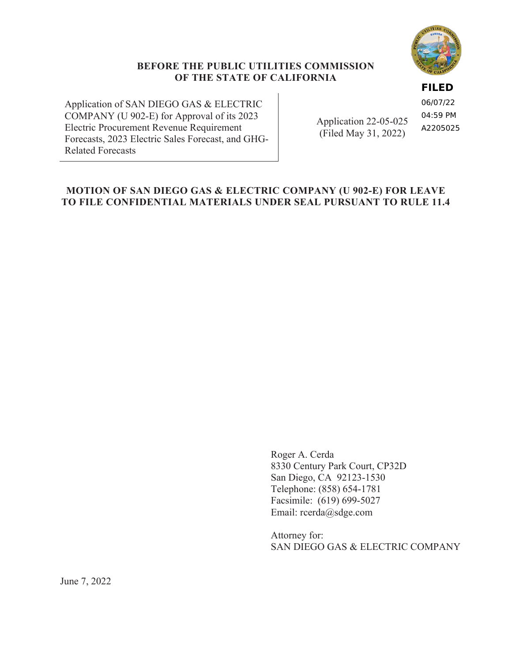

#### **FILED**

Application of SAN DIEGO GAS & ELECTRIC COMPANY (U 902-E) for Approval of its 2023 Electric Procurement Revenue Requirement Forecasts, 2023 Electric Sales Forecast, and GHG-Related Forecasts

Application 22-05-025 (Filed May 31, 2022)

06/07/22 04:59 PM A2205025

## **MOTION OF SAN DIEGO GAS & ELECTRIC COMPANY (U 902-E) FOR LEAVE TO FILE CONFIDENTIAL MATERIALS UNDER SEAL PURSUANT TO RULE 11.4**

Roger A. Cerda 8330 Century Park Court, CP32D San Diego, CA 92123-1530 Telephone: (858) 654-1781 Facsimile: (619) 699-5027 Email: rcerda@sdge.com

Attorney for: SAN DIEGO GAS & ELECTRIC COMPANY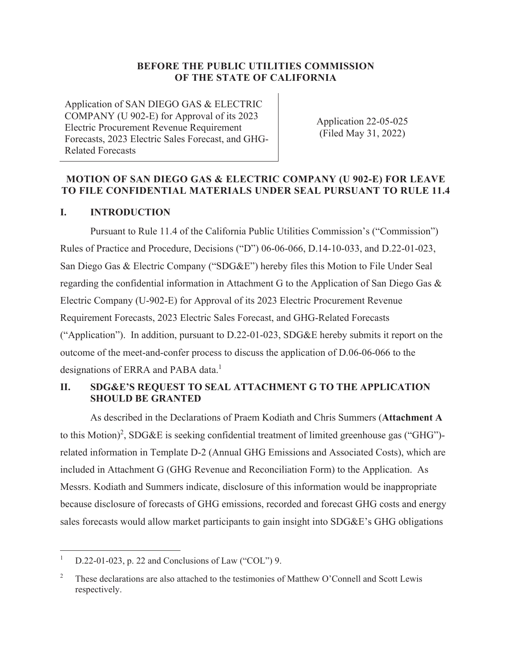Application of SAN DIEGO GAS & ELECTRIC COMPANY (U 902-E) for Approval of its 2023 Electric Procurement Revenue Requirement Forecasts, 2023 Electric Sales Forecast, and GHG-Related Forecasts

Application 22-05-025 (Filed May 31, 2022)

### **MOTION OF SAN DIEGO GAS & ELECTRIC COMPANY (U 902-E) FOR LEAVE TO FILE CONFIDENTIAL MATERIALS UNDER SEAL PURSUANT TO RULE 11.4**

#### **I. INTRODUCTION**

Pursuant to Rule 11.4 of the California Public Utilities Commission's ("Commission") Rules of Practice and Procedure, Decisions ("D") 06-06-066, D.14-10-033, and D.22-01-023, San Diego Gas & Electric Company ("SDG&E") hereby files this Motion to File Under Seal regarding the confidential information in Attachment G to the Application of San Diego Gas & Electric Company (U-902-E) for Approval of its 2023 Electric Procurement Revenue Requirement Forecasts, 2023 Electric Sales Forecast, and GHG-Related Forecasts ("Application"). In addition, pursuant to D.22-01-023, SDG&E hereby submits it report on the outcome of the meet-and-confer process to discuss the application of D.06-06-066 to the designations of ERRA and PABA data.<sup>1</sup>

### **II. SDG&E'S REQUEST TO SEAL ATTACHMENT G TO THE APPLICATION SHOULD BE GRANTED**

As described in the Declarations of Praem Kodiath and Chris Summers (**Attachment A** to this Motion)<sup>2</sup>, SDG&E is seeking confidential treatment of limited greenhouse gas ("GHG")related information in Template D-2 (Annual GHG Emissions and Associated Costs), which are included in Attachment G (GHG Revenue and Reconciliation Form) to the Application. As Messrs. Kodiath and Summers indicate, disclosure of this information would be inappropriate because disclosure of forecasts of GHG emissions, recorded and forecast GHG costs and energy sales forecasts would allow market participants to gain insight into SDG&E's GHG obligations

<sup>1</sup> D.22-01-023, p. 22 and Conclusions of Law ("COL") 9.

<sup>2</sup> These declarations are also attached to the testimonies of Matthew O'Connell and Scott Lewis respectively.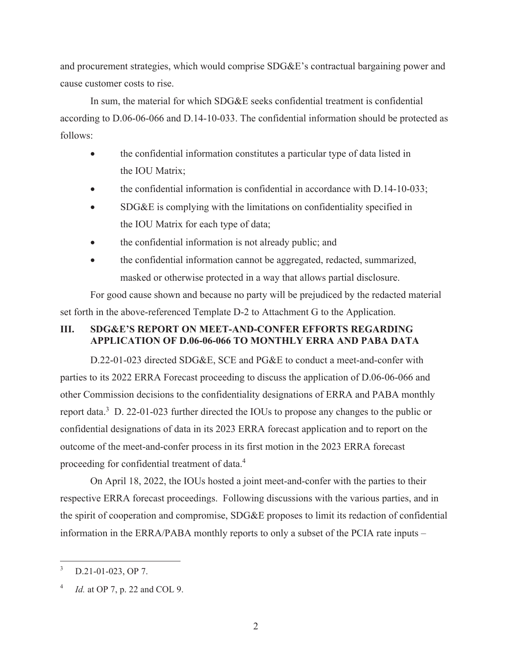and procurement strategies, which would comprise SDG&E's contractual bargaining power and cause customer costs to rise.

In sum, the material for which SDG&E seeks confidential treatment is confidential according to D.06-06-066 and D.14-10-033. The confidential information should be protected as follows:

- the confidential information constitutes a particular type of data listed in the IOU Matrix;
- the confidential information is confidential in accordance with D.14-10-033;
- x SDG&E is complying with the limitations on confidentiality specified in the IOU Matrix for each type of data;
- the confidential information is not already public; and
- the confidential information cannot be aggregated, redacted, summarized, masked or otherwise protected in a way that allows partial disclosure.

For good cause shown and because no party will be prejudiced by the redacted material set forth in the above-referenced Template D-2 to Attachment G to the Application.

#### **III. SDG&E'S REPORT ON MEET-AND-CONFER EFFORTS REGARDING APPLICATION OF D.06-06-066 TO MONTHLY ERRA AND PABA DATA**

D.22-01-023 directed SDG&E, SCE and PG&E to conduct a meet-and-confer with parties to its 2022 ERRA Forecast proceeding to discuss the application of D.06-06-066 and other Commission decisions to the confidentiality designations of ERRA and PABA monthly report data.<sup>3</sup> D. 22-01-023 further directed the IOUs to propose any changes to the public or confidential designations of data in its 2023 ERRA forecast application and to report on the outcome of the meet-and-confer process in its first motion in the 2023 ERRA forecast proceeding for confidential treatment of data.<sup>4</sup>

On April 18, 2022, the IOUs hosted a joint meet-and-confer with the parties to their respective ERRA forecast proceedings. Following discussions with the various parties, and in the spirit of cooperation and compromise, SDG&E proposes to limit its redaction of confidential information in the ERRA/PABA monthly reports to only a subset of the PCIA rate inputs –

<sup>3</sup> D.21-01-023, OP 7.

*Id.* at OP 7, p. 22 and COL 9.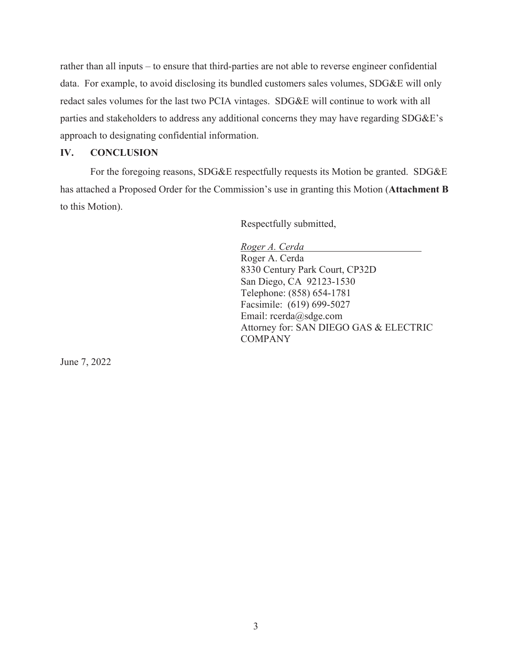rather than all inputs – to ensure that third-parties are not able to reverse engineer confidential data. For example, to avoid disclosing its bundled customers sales volumes, SDG&E will only redact sales volumes for the last two PCIA vintages. SDG&E will continue to work with all parties and stakeholders to address any additional concerns they may have regarding SDG&E's approach to designating confidential information.

#### **IV. CONCLUSION**

For the foregoing reasons, SDG&E respectfully requests its Motion be granted. SDG&E has attached a Proposed Order for the Commission's use in granting this Motion (**Attachment B** to this Motion).

Respectfully submitted,

*Roger A. Cerda*  Roger A. Cerda 8330 Century Park Court, CP32D San Diego, CA 92123-1530 Telephone: (858) 654-1781 Facsimile: (619) 699-5027 Email: rcerda@sdge.com Attorney for: SAN DIEGO GAS & ELECTRIC **COMPANY** 

June 7, 2022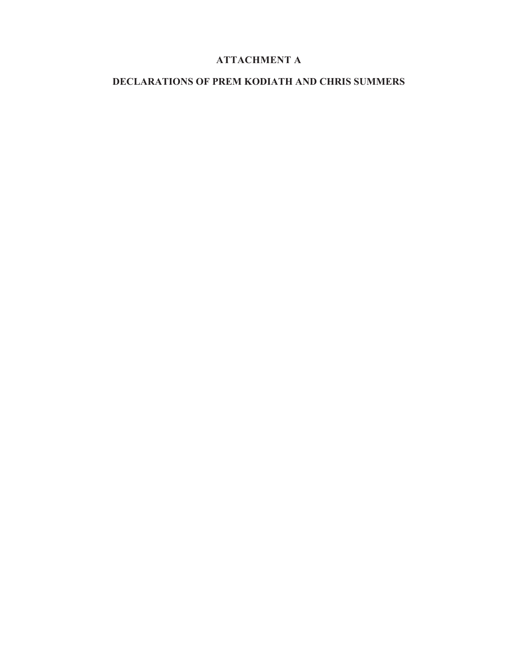# **ATTACHMENT A**

## **DECLARATIONS OF PREM KODIATH AND CHRIS SUMMERS**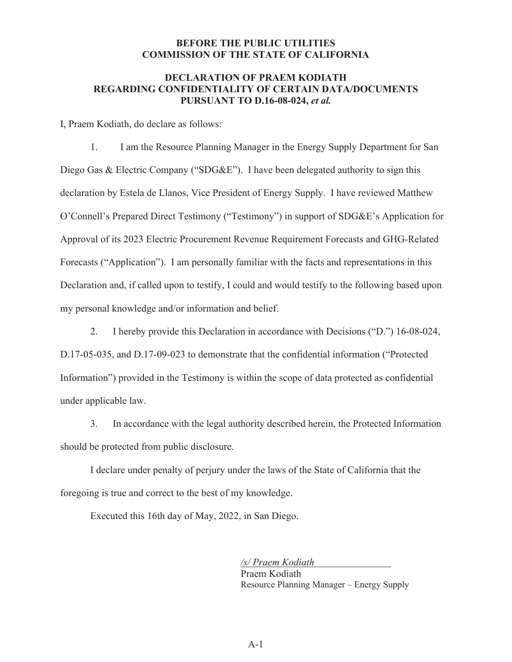#### **DECLARATION OF PRAEM KODIATH REGARDING CONFIDENTIALITY OF CERTAIN DATA/DOCUMENTS PURSUANT TO D.16-08-024,** *et al.*

I, Praem Kodiath, do declare as follows:

1. I am the Resource Planning Manager in the Energy Supply Department for San Diego Gas & Electric Company ("SDG&E"). I have been delegated authority to sign this declaration by Estela de Llanos, Vice President of Energy Supply. I have reviewed Matthew O'Connell's Prepared Direct Testimony ("Testimony") in support of SDG&E's Application for Approval of its 2023 Electric Procurement Revenue Requirement Forecasts and GHG-Related Forecasts ("Application"). I am personally familiar with the facts and representations in this Declaration and, if called upon to testify, I could and would testify to the following based upon my personal knowledge and/or information and belief.

2. I hereby provide this Declaration in accordance with Decisions ("D.") 16-08-024, D.17-05-035, and D.17-09-023 to demonstrate that the confidential information ("Protected Information") provided in the Testimony is within the scope of data protected as confidential under applicable law.

3. In accordance with the legal authority described herein, the Protected Information should be protected from public disclosure.

I declare under penalty of perjury under the laws of the State of California that the foregoing is true and correct to the best of my knowledge.

Executed this 16th day of May, 2022, in San Diego.

*/s/ Praem Kodiath*  Praem Kodiath Resource Planning Manager – Energy Supply

 $A-1$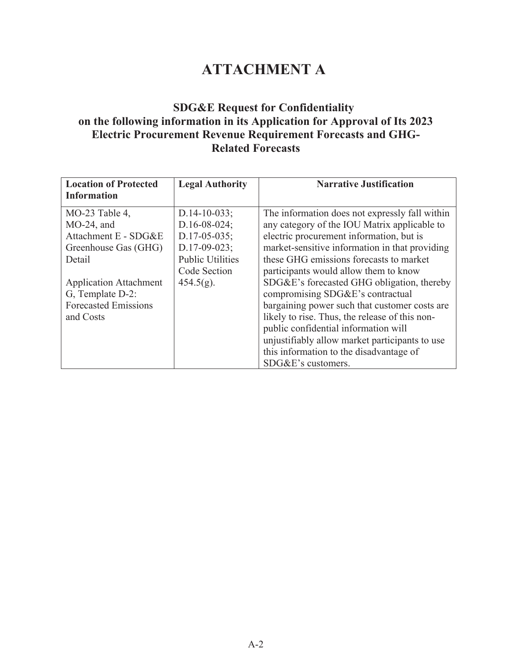# **ATTACHMENT A**

# **SDG&E Request for Confidentiality on the following information in its Application for Approval of Its 2023 Electric Procurement Revenue Requirement Forecasts and GHG-Related Forecasts**

| <b>Location of Protected</b><br>Information | <b>Legal Authority</b>  | <b>Narrative Justification</b>                 |
|---------------------------------------------|-------------------------|------------------------------------------------|
|                                             |                         |                                                |
| $MO-23$ Table 4,                            | $D.14-10-033;$          | The information does not expressly fall within |
| $MO-24$ , and                               | $D.16 - 08 - 024$ ;     | any category of the IOU Matrix applicable to   |
| Attachment E - SDG&E                        | $D.17 - 05 - 035$ ;     | electric procurement information, but is       |
| Greenhouse Gas (GHG)                        | $D.17-09-023;$          | market-sensitive information in that providing |
| Detail                                      | <b>Public Utilities</b> | these GHG emissions forecasts to market        |
|                                             | Code Section            | participants would allow them to know          |
| <b>Application Attachment</b>               | $454.5(g)$ .            | SDG&E's forecasted GHG obligation, thereby     |
| G, Template D-2:                            |                         | compromising SDG&E's contractual               |
| <b>Forecasted Emissions</b>                 |                         | bargaining power such that customer costs are  |
| and Costs                                   |                         | likely to rise. Thus, the release of this non- |
|                                             |                         | public confidential information will           |
|                                             |                         | unjustifiably allow market participants to use |
|                                             |                         | this information to the disadvantage of        |
|                                             |                         | SDG&E's customers.                             |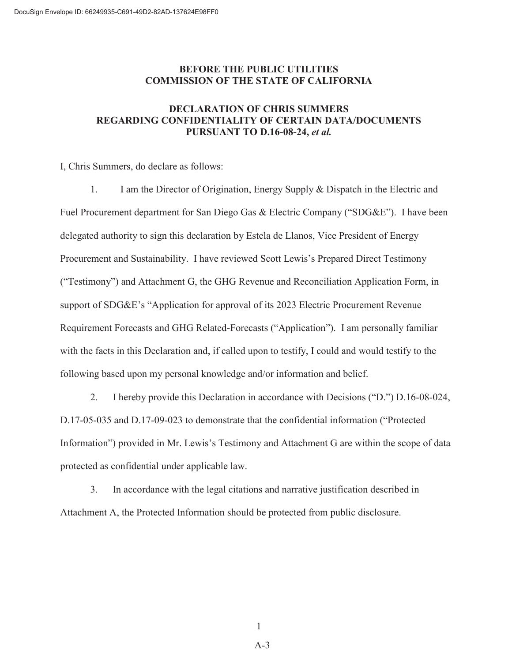#### **DECLARATION OF CHRIS SUMMERS REGARDING CONFIDENTIALITY OF CERTAIN DATA/DOCUMENTS PURSUANT TO D.16-08-24,** *et al.*

I, Chris Summers, do declare as follows:

1. I am the Director of Origination, Energy Supply & Dispatch in the Electric and Fuel Procurement department for San Diego Gas & Electric Company ("SDG&E"). I have been delegated authority to sign this declaration by Estela de Llanos, Vice President of Energy Procurement and Sustainability. I have reviewed Scott Lewis's Prepared Direct Testimony ("Testimony") and Attachment G, the GHG Revenue and Reconciliation Application Form, in support of SDG&E's "Application for approval of its 2023 Electric Procurement Revenue Requirement Forecasts and GHG Related-Forecasts ("Application"). I am personally familiar with the facts in this Declaration and, if called upon to testify, I could and would testify to the following based upon my personal knowledge and/or information and belief.

2. I hereby provide this Declaration in accordance with Decisions ("D.") D.16-08-024, D.17-05-035 and D.17-09-023 to demonstrate that the confidential information ("Protected Information") provided in Mr. Lewis's Testimony and Attachment G are within the scope of data protected as confidential under applicable law.

3. In accordance with the legal citations and narrative justification described in Attachment A, the Protected Information should be protected from public disclosure.

1

A-3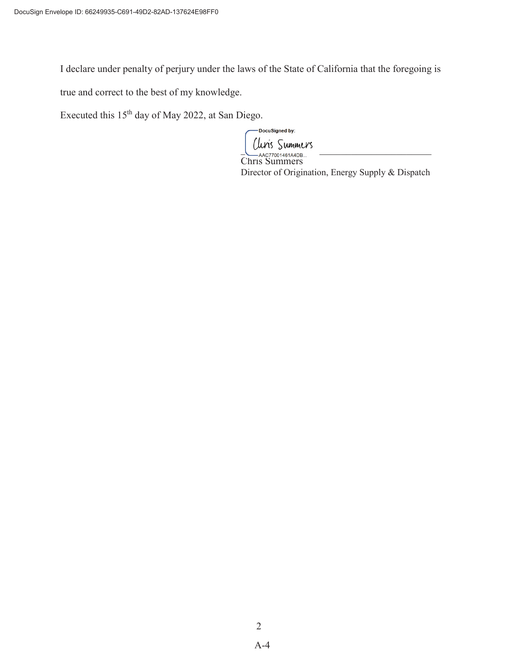I declare under penalty of perjury under the laws of the State of California that the foregoing is

true and correct to the best of my knowledge.

Executed this 15th day of May 2022, at San Diego.

DocuSigned by:  $\sim 10077200148144PR$ 

Chris Summers Director of Origination, Energy Supply & Dispatch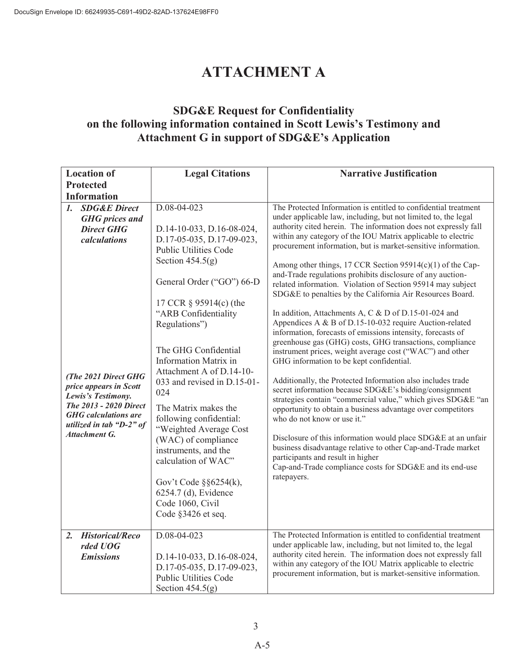# **ATTACHMENT A**

# **SDG&E Request for Confidentiality on the following information contained in Scott Lewis's Testimony and Attachment G in support of SDG&E's Application**

| <b>Location of</b>                                                                                                                                                                                                                                                                                | <b>Legal Citations</b>                                                                                                                                                                                                                                                                                                                                                                                                                                                                                                                                                                                  | <b>Narrative Justification</b>                                                                                                                                                                                                                                                                                                                                                                                                                                                                                                                                                                                                                                                                                                                                                                                                                                                                                                                                                                                                                                                                                                                                                                                                                                                                                                                                                                                                                                                              |
|---------------------------------------------------------------------------------------------------------------------------------------------------------------------------------------------------------------------------------------------------------------------------------------------------|---------------------------------------------------------------------------------------------------------------------------------------------------------------------------------------------------------------------------------------------------------------------------------------------------------------------------------------------------------------------------------------------------------------------------------------------------------------------------------------------------------------------------------------------------------------------------------------------------------|---------------------------------------------------------------------------------------------------------------------------------------------------------------------------------------------------------------------------------------------------------------------------------------------------------------------------------------------------------------------------------------------------------------------------------------------------------------------------------------------------------------------------------------------------------------------------------------------------------------------------------------------------------------------------------------------------------------------------------------------------------------------------------------------------------------------------------------------------------------------------------------------------------------------------------------------------------------------------------------------------------------------------------------------------------------------------------------------------------------------------------------------------------------------------------------------------------------------------------------------------------------------------------------------------------------------------------------------------------------------------------------------------------------------------------------------------------------------------------------------|
| <b>Protected</b>                                                                                                                                                                                                                                                                                  |                                                                                                                                                                                                                                                                                                                                                                                                                                                                                                                                                                                                         |                                                                                                                                                                                                                                                                                                                                                                                                                                                                                                                                                                                                                                                                                                                                                                                                                                                                                                                                                                                                                                                                                                                                                                                                                                                                                                                                                                                                                                                                                             |
| <b>Information</b>                                                                                                                                                                                                                                                                                |                                                                                                                                                                                                                                                                                                                                                                                                                                                                                                                                                                                                         |                                                                                                                                                                                                                                                                                                                                                                                                                                                                                                                                                                                                                                                                                                                                                                                                                                                                                                                                                                                                                                                                                                                                                                                                                                                                                                                                                                                                                                                                                             |
| <b>SDG&amp;E Direct</b><br>$\mathcal{I}$ .<br><b>GHG</b> prices and<br><b>Direct GHG</b><br>calculations<br>(The 2021 Direct GHG<br>price appears in Scott<br>Lewis's Testimony.<br>The 2013 - 2020 Direct<br><b>GHG</b> calculations are<br>utilized in tab " $D-2$ " of<br><b>Attachment G.</b> | D.08-04-023<br>D.14-10-033, D.16-08-024,<br>D.17-05-035, D.17-09-023,<br><b>Public Utilities Code</b><br>Section $454.5(g)$<br>General Order ("GO") 66-D<br>17 CCR § 95914(c) (the<br>"ARB Confidentiality<br>Regulations")<br>The GHG Confidential<br><b>Information Matrix in</b><br>Attachment A of D.14-10-<br>033 and revised in D.15-01-<br>024<br>The Matrix makes the<br>following confidential:<br>"Weighted Average Cost<br>(WAC) of compliance<br>instruments, and the<br>calculation of WAC"<br>Gov't Code $\S$ §6254(k),<br>6254.7 (d), Evidence<br>Code 1060, Civil<br>Code §3426 et seq. | The Protected Information is entitled to confidential treatment<br>under applicable law, including, but not limited to, the legal<br>authority cited herein. The information does not expressly fall<br>within any category of the IOU Matrix applicable to electric<br>procurement information, but is market-sensitive information.<br>Among other things, 17 CCR Section 95914(c)(1) of the Cap-<br>and-Trade regulations prohibits disclosure of any auction-<br>related information. Violation of Section 95914 may subject<br>SDG&E to penalties by the California Air Resources Board.<br>In addition, Attachments A, C & D of D.15-01-024 and<br>Appendices A & B of D.15-10-032 require Auction-related<br>information, forecasts of emissions intensity, forecasts of<br>greenhouse gas (GHG) costs, GHG transactions, compliance<br>instrument prices, weight average cost ("WAC") and other<br>GHG information to be kept confidential.<br>Additionally, the Protected Information also includes trade<br>secret information because SDG&E's bidding/consignment<br>strategies contain "commercial value," which gives SDG&E "an<br>opportunity to obtain a business advantage over competitors<br>who do not know or use it."<br>Disclosure of this information would place SDG&E at an unfair<br>business disadvantage relative to other Cap-and-Trade market<br>participants and result in higher<br>Cap-and-Trade compliance costs for SDG&E and its end-use<br>ratepayers. |
| <b>Historical/Reco</b><br>2.<br>rded UOG<br><b>Emissions</b>                                                                                                                                                                                                                                      | $D.08 - 04 - 023$<br>D.14-10-033, D.16-08-024,<br>D.17-05-035, D.17-09-023,<br><b>Public Utilities Code</b><br>Section $454.5(g)$                                                                                                                                                                                                                                                                                                                                                                                                                                                                       | The Protected Information is entitled to confidential treatment<br>under applicable law, including, but not limited to, the legal<br>authority cited herein. The information does not expressly fall<br>within any category of the IOU Matrix applicable to electric<br>procurement information, but is market-sensitive information.                                                                                                                                                                                                                                                                                                                                                                                                                                                                                                                                                                                                                                                                                                                                                                                                                                                                                                                                                                                                                                                                                                                                                       |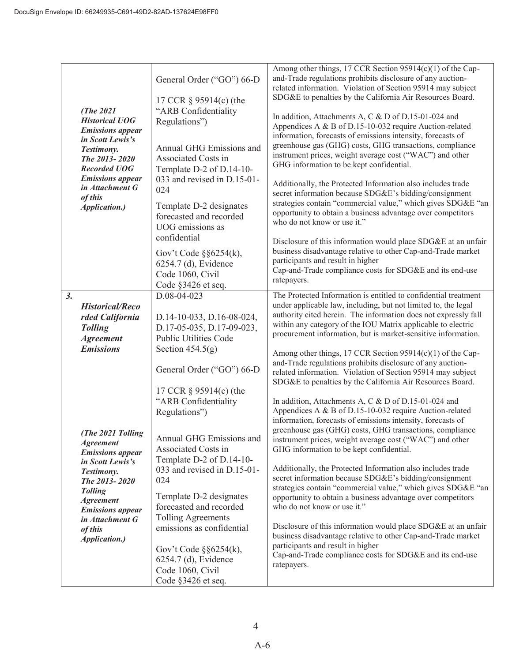| (The 2021<br><b>Historical UOG</b><br>in Scott Lewis's<br>Testimony.<br>The 2013-2020<br><b>Recorded UOG</b><br>of this<br>Application.)                                                                     | <b>Emissions</b> appear<br><b>Emissions</b> appear<br>in Attachment G                                                                   | General Order ("GO") 66-D<br>17 CCR § 95914(c) (the<br>"ARB Confidentiality<br>Regulations")<br>Annual GHG Emissions and<br>Associated Costs in<br>Template D-2 of D.14-10-<br>033 and revised in D.15-01-<br>024<br>Template D-2 designates<br>forecasted and recorded<br>UOG emissions as<br>confidential<br>Gov't Code $\S$ $\S$ 6254(k),<br>6254.7 (d), Evidence<br>Code 1060, Civil<br>Code §3426 et seq.                                                                                                            | Among other things, 17 CCR Section 95914(c)(1) of the Cap-<br>and-Trade regulations prohibits disclosure of any auction-<br>related information. Violation of Section 95914 may subject<br>SDG&E to penalties by the California Air Resources Board.<br>In addition, Attachments A, C & D of D.15-01-024 and<br>Appendices A & B of D.15-10-032 require Auction-related<br>information, forecasts of emissions intensity, forecasts of<br>greenhouse gas (GHG) costs, GHG transactions, compliance<br>instrument prices, weight average cost ("WAC") and other<br>GHG information to be kept confidential.<br>Additionally, the Protected Information also includes trade<br>secret information because SDG&E's bidding/consignment<br>strategies contain "commercial value," which gives SDG&E "an<br>opportunity to obtain a business advantage over competitors<br>who do not know or use it."<br>Disclosure of this information would place SDG&E at an unfair<br>business disadvantage relative to other Cap-and-Trade market<br>participants and result in higher<br>Cap-and-Trade compliance costs for SDG&E and its end-use<br>ratepayers.                                                                                                                                                                                                                                                                                                                                          |
|--------------------------------------------------------------------------------------------------------------------------------------------------------------------------------------------------------------|-----------------------------------------------------------------------------------------------------------------------------------------|---------------------------------------------------------------------------------------------------------------------------------------------------------------------------------------------------------------------------------------------------------------------------------------------------------------------------------------------------------------------------------------------------------------------------------------------------------------------------------------------------------------------------|---------------------------------------------------------------------------------------------------------------------------------------------------------------------------------------------------------------------------------------------------------------------------------------------------------------------------------------------------------------------------------------------------------------------------------------------------------------------------------------------------------------------------------------------------------------------------------------------------------------------------------------------------------------------------------------------------------------------------------------------------------------------------------------------------------------------------------------------------------------------------------------------------------------------------------------------------------------------------------------------------------------------------------------------------------------------------------------------------------------------------------------------------------------------------------------------------------------------------------------------------------------------------------------------------------------------------------------------------------------------------------------------------------------------------------------------------------------------------------------------|
| 3.<br><b>Tolling</b><br><b>Agreement</b><br><b>Emissions</b><br><b>Agreement</b><br>in Scott Lewis's<br>Testimony.<br>The 2013-2020<br><b>Tolling</b><br><b>Agreement</b><br>of this<br><b>Application.)</b> | <b>Historical/Reco</b><br>rded California<br>(The 2021 Tolling<br><b>Emissions</b> appear<br><b>Emissions</b> appear<br>in Attachment G | D.08-04-023<br>D.14-10-033, D.16-08-024,<br>D.17-05-035, D.17-09-023,<br><b>Public Utilities Code</b><br>Section $454.5(g)$<br>General Order ("GO") 66-D<br>17 CCR § 95914(c) (the<br>"ARB Confidentiality<br>Regulations")<br>Annual GHG Emissions and<br>Associated Costs in<br>Template D-2 of D.14-10-<br>033 and revised in D.15-01-<br>024<br>Template D-2 designates<br>forecasted and recorded<br><b>Tolling Agreements</b><br>emissions as confidential<br>Gov't Code $\S$ $\S$ 6254(k),<br>6254.7 (d), Evidence | The Protected Information is entitled to confidential treatment<br>under applicable law, including, but not limited to, the legal<br>authority cited herein. The information does not expressly fall<br>within any category of the IOU Matrix applicable to electric<br>procurement information, but is market-sensitive information.<br>Among other things, 17 CCR Section 95914(c)(1) of the Cap-<br>and-Trade regulations prohibits disclosure of any auction-<br>related information. Violation of Section 95914 may subject<br>SDG&E to penalties by the California Air Resources Board.<br>In addition, Attachments A, C & D of D.15-01-024 and<br>Appendices A & B of D.15-10-032 require Auction-related<br>information, forecasts of emissions intensity, forecasts of<br>greenhouse gas (GHG) costs, GHG transactions, compliance<br>instrument prices, weight average cost ("WAC") and other<br>GHG information to be kept confidential.<br>Additionally, the Protected Information also includes trade<br>secret information because SDG&E's bidding/consignment<br>strategies contain "commercial value," which gives SDG&E "an<br>opportunity to obtain a business advantage over competitors<br>who do not know or use it."<br>Disclosure of this information would place SDG&E at an unfair<br>business disadvantage relative to other Cap-and-Trade market<br>participants and result in higher<br>Cap-and-Trade compliance costs for SDG&E and its end-use<br>ratepayers. |
|                                                                                                                                                                                                              |                                                                                                                                         | Code 1060, Civil<br>Code §3426 et seq.                                                                                                                                                                                                                                                                                                                                                                                                                                                                                    |                                                                                                                                                                                                                                                                                                                                                                                                                                                                                                                                                                                                                                                                                                                                                                                                                                                                                                                                                                                                                                                                                                                                                                                                                                                                                                                                                                                                                                                                                             |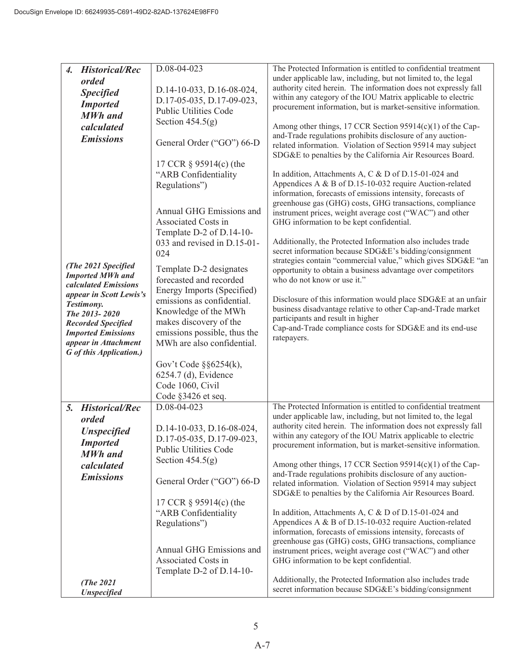| <b>Historical/Rec</b><br>4. | D.08-04-023                  | The Protected Information is entitled to confidential treatment |
|-----------------------------|------------------------------|-----------------------------------------------------------------|
| orded                       |                              | under applicable law, including, but not limited to, the legal  |
| <b>Specified</b>            | D.14-10-033, D.16-08-024,    | authority cited herein. The information does not expressly fall |
|                             | D.17-05-035, D.17-09-023,    | within any category of the IOU Matrix applicable to electric    |
| <b>Imported</b>             | <b>Public Utilities Code</b> | procurement information, but is market-sensitive information.   |
| <b>MWh</b> and              |                              |                                                                 |
| calculated                  | Section $454.5(g)$           | Among other things, 17 CCR Section 95914(c)(1) of the Cap-      |
| <b>Emissions</b>            |                              | and-Trade regulations prohibits disclosure of any auction-      |
|                             | General Order ("GO") 66-D    | related information. Violation of Section 95914 may subject     |
|                             |                              | SDG&E to penalties by the California Air Resources Board.       |
|                             | 17 CCR § 95914(c) (the       |                                                                 |
|                             | "ARB Confidentiality         | In addition, Attachments A, C & D of D.15-01-024 and            |
|                             |                              | Appendices A & B of D.15-10-032 require Auction-related         |
|                             | Regulations")                | information, forecasts of emissions intensity, forecasts of     |
|                             |                              | greenhouse gas (GHG) costs, GHG transactions, compliance        |
|                             | Annual GHG Emissions and     |                                                                 |
|                             | Associated Costs in          | instrument prices, weight average cost ("WAC") and other        |
|                             |                              | GHG information to be kept confidential.                        |
|                             | Template D-2 of D.14-10-     |                                                                 |
|                             | 033 and revised in D.15-01-  | Additionally, the Protected Information also includes trade     |
|                             | 024                          | secret information because SDG&E's bidding/consignment          |
| (The 2021 Specified         | Template D-2 designates      | strategies contain "commercial value," which gives SDG&E "an    |
| <b>Imported MWh and</b>     |                              | opportunity to obtain a business advantage over competitors     |
| calculated Emissions        | forecasted and recorded      | who do not know or use it."                                     |
| appear in Scott Lewis's     | Energy Imports (Specified)   |                                                                 |
| Testimony.                  | emissions as confidential.   | Disclosure of this information would place SDG&E at an unfair   |
| The 2013-2020               | Knowledge of the MWh         | business disadvantage relative to other Cap-and-Trade market    |
| <b>Recorded Specified</b>   | makes discovery of the       | participants and result in higher                               |
| <b>Imported Emissions</b>   | emissions possible, thus the | Cap-and-Trade compliance costs for SDG&E and its end-use        |
| appear in Attachment        | MWh are also confidential.   | ratepayers.                                                     |
| G of this Application.)     |                              |                                                                 |
|                             |                              |                                                                 |
|                             | Gov't Code $\S$ $6254(k)$ ,  |                                                                 |
|                             | 6254.7 (d), Evidence         |                                                                 |
|                             | Code 1060, Civil             |                                                                 |
|                             | Code §3426 et seq.           |                                                                 |
| <b>Historical/Rec</b><br>5. | D.08-04-023                  | The Protected Information is entitled to confidential treatment |
| orded                       |                              | under applicable law, including, but not limited to, the legal  |
|                             | D.14-10-033, D.16-08-024,    | authority cited herein. The information does not expressly fall |
| <b>Unspecified</b>          | D.17-05-035, D.17-09-023,    | within any category of the IOU Matrix applicable to electric    |
| <b>Imported</b>             |                              | procurement information, but is market-sensitive information.   |
| <b>MWh</b> and              | <b>Public Utilities Code</b> |                                                                 |
| calculated                  | Section $454.5(g)$           | Among other things, 17 CCR Section 95914(c)(1) of the Cap-      |
| <b>Emissions</b>            |                              | and-Trade regulations prohibits disclosure of any auction-      |
|                             | General Order ("GO") 66-D    | related information. Violation of Section 95914 may subject     |
|                             |                              | SDG&E to penalties by the California Air Resources Board.       |
|                             | 17 CCR § 95914(c) (the       |                                                                 |
|                             | "ARB Confidentiality         | In addition, Attachments A, C & D of D.15-01-024 and            |
|                             | Regulations")                | Appendices A & B of D.15-10-032 require Auction-related         |
|                             |                              | information, forecasts of emissions intensity, forecasts of     |
|                             |                              | greenhouse gas (GHG) costs, GHG transactions, compliance        |
|                             | Annual GHG Emissions and     | instrument prices, weight average cost ("WAC") and other        |
|                             | Associated Costs in          | GHG information to be kept confidential.                        |
|                             | Template D-2 of D.14-10-     |                                                                 |
|                             |                              | Additionally, the Protected Information also includes trade     |
| (The $2021$                 |                              | secret information because SDG&E's bidding/consignment          |
| <b>Unspecified</b>          |                              |                                                                 |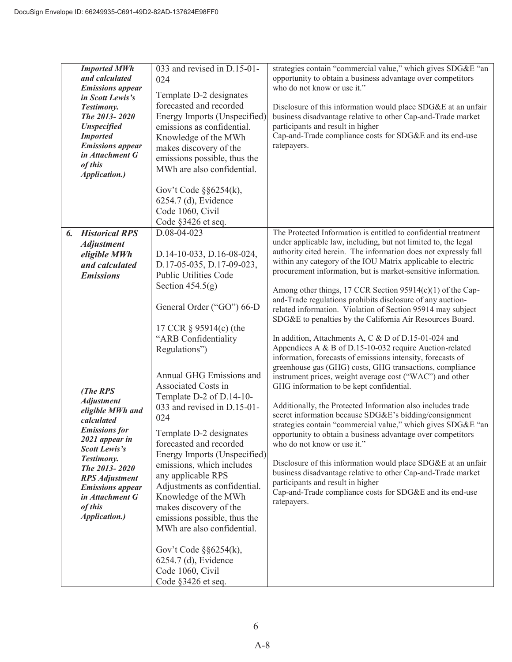|    | <b>Imported MWh</b><br>and calculated<br><b>Emissions</b> appear | $033$ and revised in D.15-01-<br>024 | strategies contain "commercial value," which gives SDG&E "an<br>opportunity to obtain a business advantage over competitors<br>who do not know or use it." |
|----|------------------------------------------------------------------|--------------------------------------|------------------------------------------------------------------------------------------------------------------------------------------------------------|
|    | in Scott Lewis's                                                 | Template D-2 designates              |                                                                                                                                                            |
|    | Testimony.                                                       | forecasted and recorded              | Disclosure of this information would place SDG&E at an unfair                                                                                              |
|    | The 2013-2020                                                    | Energy Imports (Unspecified)         | business disadvantage relative to other Cap-and-Trade market                                                                                               |
|    | <b>Unspecified</b>                                               | emissions as confidential.           | participants and result in higher                                                                                                                          |
|    | <b>Imported</b>                                                  | Knowledge of the MWh                 | Cap-and-Trade compliance costs for SDG&E and its end-use                                                                                                   |
|    | <b>Emissions</b> appear                                          | makes discovery of the               | ratepayers.                                                                                                                                                |
|    | in Attachment G                                                  | emissions possible, thus the         |                                                                                                                                                            |
|    | of this                                                          | MWh are also confidential.           |                                                                                                                                                            |
|    | Application.)                                                    |                                      |                                                                                                                                                            |
|    |                                                                  | Gov't Code $\S$ $\S$ 6254(k),        |                                                                                                                                                            |
|    |                                                                  | 6254.7 (d), Evidence                 |                                                                                                                                                            |
|    |                                                                  | Code 1060, Civil                     |                                                                                                                                                            |
|    |                                                                  | Code §3426 et seq.                   |                                                                                                                                                            |
| 6. | <b>Historical RPS</b>                                            | D.08-04-023                          | The Protected Information is entitled to confidential treatment                                                                                            |
|    | <b>Adjustment</b>                                                |                                      | under applicable law, including, but not limited to, the legal                                                                                             |
|    | eligible MWh                                                     | D.14-10-033, D.16-08-024,            | authority cited herein. The information does not expressly fall                                                                                            |
|    | and calculated                                                   | D.17-05-035, D.17-09-023,            | within any category of the IOU Matrix applicable to electric                                                                                               |
|    | <b>Emissions</b>                                                 | <b>Public Utilities Code</b>         | procurement information, but is market-sensitive information.                                                                                              |
|    |                                                                  | Section $454.5(g)$                   |                                                                                                                                                            |
|    |                                                                  |                                      | Among other things, 17 CCR Section 95914(c)(1) of the Cap-                                                                                                 |
|    |                                                                  | General Order ("GO") 66-D            | and-Trade regulations prohibits disclosure of any auction-                                                                                                 |
|    |                                                                  |                                      | related information. Violation of Section 95914 may subject<br>SDG&E to penalties by the California Air Resources Board.                                   |
|    |                                                                  | 17 CCR § 95914(c) (the               |                                                                                                                                                            |
|    |                                                                  | "ARB Confidentiality                 | In addition, Attachments A, C & D of D.15-01-024 and                                                                                                       |
|    |                                                                  | Regulations")                        | Appendices A & B of D.15-10-032 require Auction-related                                                                                                    |
|    |                                                                  |                                      | information, forecasts of emissions intensity, forecasts of                                                                                                |
|    |                                                                  |                                      | greenhouse gas (GHG) costs, GHG transactions, compliance                                                                                                   |
|    |                                                                  | Annual GHG Emissions and             | instrument prices, weight average cost ("WAC") and other                                                                                                   |
|    | (The RPS                                                         | Associated Costs in                  | GHG information to be kept confidential.                                                                                                                   |
|    | <b>Adjustment</b>                                                | Template D-2 of D.14-10-             |                                                                                                                                                            |
|    | eligible MWh and                                                 | 033 and revised in D.15-01-          | Additionally, the Protected Information also includes trade<br>secret information because SDG&E's bidding/consignment                                      |
|    | calculated                                                       | 024                                  | strategies contain "commercial value," which gives SDG&E "an                                                                                               |
|    | <b>Emissions</b> for                                             | Template D-2 designates              | opportunity to obtain a business advantage over competitors                                                                                                |
|    | 2021 appear in                                                   | forecasted and recorded              | who do not know or use it."                                                                                                                                |
|    | Scott Lewis's                                                    | Energy Imports (Unspecified)         |                                                                                                                                                            |
|    | Testimony.<br>The 2013-2020                                      | emissions, which includes            | Disclosure of this information would place SDG&E at an unfair                                                                                              |
|    | <b>RPS</b> Adjustment                                            | any applicable RPS                   | business disadvantage relative to other Cap-and-Trade market                                                                                               |
|    | <b>Emissions</b> appear                                          | Adjustments as confidential.         | participants and result in higher                                                                                                                          |
|    | in Attachment G                                                  | Knowledge of the MWh                 | Cap-and-Trade compliance costs for SDG&E and its end-use                                                                                                   |
|    | of this                                                          | makes discovery of the               | ratepayers.                                                                                                                                                |
|    | <b>Application.)</b>                                             | emissions possible, thus the         |                                                                                                                                                            |
|    |                                                                  | MWh are also confidential.           |                                                                                                                                                            |
|    |                                                                  |                                      |                                                                                                                                                            |
|    |                                                                  | Gov't Code $\S$ $\S$ 6254(k),        |                                                                                                                                                            |
|    |                                                                  | 6254.7 (d), Evidence                 |                                                                                                                                                            |
|    |                                                                  | Code 1060, Civil                     |                                                                                                                                                            |
|    |                                                                  | Code §3426 et seq.                   |                                                                                                                                                            |
|    |                                                                  |                                      |                                                                                                                                                            |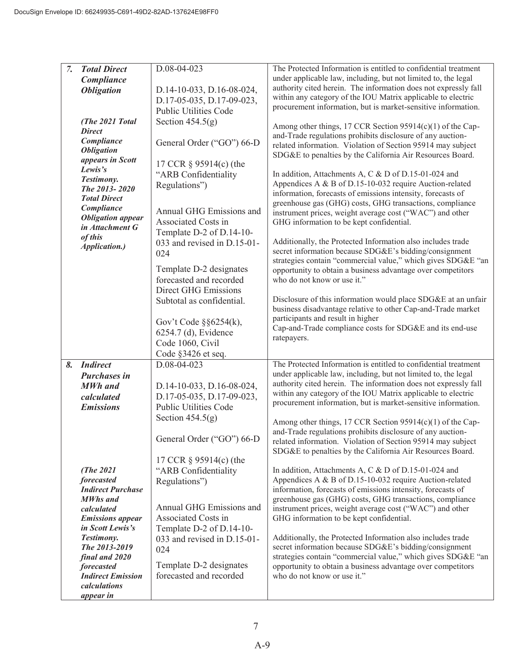| 7. | <b>Total Direct</b>      | D.08-04-023                   | The Protected Information is entitled to confidential treatment |
|----|--------------------------|-------------------------------|-----------------------------------------------------------------|
|    | Compliance               |                               | under applicable law, including, but not limited to, the legal  |
|    |                          |                               | authority cited herein. The information does not expressly fall |
|    | <b>Obligation</b>        | D.14-10-033, D.16-08-024,     | within any category of the IOU Matrix applicable to electric    |
|    |                          | D.17-05-035, D.17-09-023,     |                                                                 |
|    |                          | <b>Public Utilities Code</b>  | procurement information, but is market-sensitive information.   |
|    | (The 2021 Total          | Section $454.5(g)$            |                                                                 |
|    | <b>Direct</b>            |                               | Among other things, 17 CCR Section 95914(c)(1) of the Cap-      |
|    |                          |                               | and-Trade regulations prohibits disclosure of any auction-      |
|    | Compliance               | General Order ("GO") 66-D     | related information. Violation of Section 95914 may subject     |
|    | <b>Obligation</b>        |                               | SDG&E to penalties by the California Air Resources Board.       |
|    | appears in Scott         | 17 CCR § 95914(c) (the        |                                                                 |
|    | Lewis's                  | "ARB Confidentiality          |                                                                 |
|    | Testimony.               |                               | In addition, Attachments A, C & D of D.15-01-024 and            |
|    | The 2013-2020            | Regulations")                 | Appendices A & B of D.15-10-032 require Auction-related         |
|    | <b>Total Direct</b>      |                               | information, forecasts of emissions intensity, forecasts of     |
|    | Compliance               |                               | greenhouse gas (GHG) costs, GHG transactions, compliance        |
|    |                          | Annual GHG Emissions and      | instrument prices, weight average cost ("WAC") and other        |
|    | <b>Obligation</b> appear | Associated Costs in           | GHG information to be kept confidential.                        |
|    | in Attachment G          | Template D-2 of D.14-10-      |                                                                 |
|    | of this                  |                               | Additionally, the Protected Information also includes trade     |
|    | Application.)            | 033 and revised in D.15-01-   | secret information because SDG&E's bidding/consignment          |
|    |                          | 024                           |                                                                 |
|    |                          |                               | strategies contain "commercial value," which gives SDG&E "an    |
|    |                          | Template D-2 designates       | opportunity to obtain a business advantage over competitors     |
|    |                          | forecasted and recorded       | who do not know or use it."                                     |
|    |                          | <b>Direct GHG Emissions</b>   |                                                                 |
|    |                          | Subtotal as confidential.     | Disclosure of this information would place SDG&E at an unfair   |
|    |                          |                               | business disadvantage relative to other Cap-and-Trade market    |
|    |                          |                               | participants and result in higher                               |
|    |                          | Gov't Code $\S$ $\S$ 6254(k), | Cap-and-Trade compliance costs for SDG&E and its end-use        |
|    |                          | 6254.7 (d), Evidence          | ratepayers.                                                     |
|    |                          | Code 1060, Civil              |                                                                 |
|    |                          | Code §3426 et seq.            |                                                                 |
| 8. | <b>Indirect</b>          | D.08-04-023                   | The Protected Information is entitled to confidential treatment |
|    |                          |                               | under applicable law, including, but not limited to, the legal  |
|    | <b>Purchases in</b>      |                               |                                                                 |
|    | <b>MWh</b> and           | D.14-10-033, D.16-08-024,     | authority cited herein. The information does not expressly fall |
|    | calculated               | D.17-05-035, D.17-09-023,     | within any category of the IOU Matrix applicable to electric    |
|    | <b>Emissions</b>         | <b>Public Utilities Code</b>  | procurement information, but is market-sensitive information.   |
|    |                          | Section $454.5(g)$            |                                                                 |
|    |                          |                               | Among other things, 17 CCR Section 95914(c)(1) of the Cap-      |
|    |                          |                               | and-Trade regulations prohibits disclosure of any auction-      |
|    |                          | General Order ("GO") 66-D     | related information. Violation of Section 95914 may subject     |
|    |                          |                               | SDG&E to penalties by the California Air Resources Board.       |
|    |                          | 17 CCR § 95914(c) (the        |                                                                 |
|    | (The $2021$              | "ARB Confidentiality          | In addition, Attachments A, C & D of D.15-01-024 and            |
|    | forecasted               |                               | Appendices A & B of D.15-10-032 require Auction-related         |
|    | <b>Indirect Purchase</b> | Regulations")                 | information, forecasts of emissions intensity, forecasts of     |
|    |                          |                               |                                                                 |
|    | <b>MWhs</b> and          | Annual GHG Emissions and      | greenhouse gas (GHG) costs, GHG transactions, compliance        |
|    | calculated               |                               | instrument prices, weight average cost ("WAC") and other        |
|    | <b>Emissions</b> appear  | Associated Costs in           | GHG information to be kept confidential.                        |
|    | in Scott Lewis's         | Template D-2 of D.14-10-      |                                                                 |
|    | Testimony.               | 033 and revised in D.15-01-   | Additionally, the Protected Information also includes trade     |
|    | The 2013-2019            | 024                           | secret information because SDG&E's bidding/consignment          |
|    | final and 2020           |                               | strategies contain "commercial value," which gives SDG&E "an    |
|    | forecasted               | Template D-2 designates       | opportunity to obtain a business advantage over competitors     |
|    | <b>Indirect Emission</b> | forecasted and recorded       | who do not know or use it."                                     |
|    | calculations             |                               |                                                                 |
|    |                          |                               |                                                                 |
|    | appear in                |                               |                                                                 |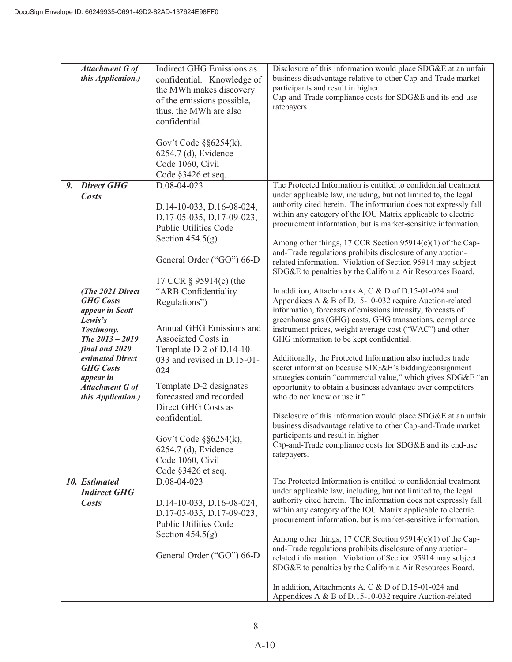|    | Attachment G of<br>this Application.)                                                                                                                                                                                                                             | <b>Indirect GHG Emissions as</b><br>confidential. Knowledge of<br>the MWh makes discovery<br>of the emissions possible,<br>thus, the MWh are also                                                                                                                                                                                                                                                                                                                                                                       | Disclosure of this information would place SDG&E at an unfair<br>business disadvantage relative to other Cap-and-Trade market<br>participants and result in higher<br>Cap-and-Trade compliance costs for SDG&E and its end-use<br>ratepayers.                                                                                                                                                                                                                                                                                                                                                                                                                                                                                                                                                                                                                                                                                                                                                                                                                                                                                                                                                                                                                                                                                                                                                                                                                                               |
|----|-------------------------------------------------------------------------------------------------------------------------------------------------------------------------------------------------------------------------------------------------------------------|-------------------------------------------------------------------------------------------------------------------------------------------------------------------------------------------------------------------------------------------------------------------------------------------------------------------------------------------------------------------------------------------------------------------------------------------------------------------------------------------------------------------------|---------------------------------------------------------------------------------------------------------------------------------------------------------------------------------------------------------------------------------------------------------------------------------------------------------------------------------------------------------------------------------------------------------------------------------------------------------------------------------------------------------------------------------------------------------------------------------------------------------------------------------------------------------------------------------------------------------------------------------------------------------------------------------------------------------------------------------------------------------------------------------------------------------------------------------------------------------------------------------------------------------------------------------------------------------------------------------------------------------------------------------------------------------------------------------------------------------------------------------------------------------------------------------------------------------------------------------------------------------------------------------------------------------------------------------------------------------------------------------------------|
|    |                                                                                                                                                                                                                                                                   | confidential.<br>Gov't Code $\S$ $\S$ 6254(k),<br>6254.7 (d), Evidence<br>Code 1060, Civil<br>Code §3426 et seq.                                                                                                                                                                                                                                                                                                                                                                                                        |                                                                                                                                                                                                                                                                                                                                                                                                                                                                                                                                                                                                                                                                                                                                                                                                                                                                                                                                                                                                                                                                                                                                                                                                                                                                                                                                                                                                                                                                                             |
| 9. | <b>Direct GHG</b><br><b>Costs</b><br>(The 2021 Direct<br><b>GHG</b> Costs<br>appear in Scott<br>Lewis's<br>Testimony.<br>The $2013 - 2019$<br>final and 2020<br>estimated Direct<br><b>GHG</b> Costs<br>appear in<br><b>Attachment G of</b><br>this Application.) | D.08-04-023<br>D.14-10-033, D.16-08-024,<br>D.17-05-035, D.17-09-023,<br><b>Public Utilities Code</b><br>Section $454.5(g)$<br>General Order ("GO") 66-D<br>17 CCR § 95914(c) (the<br>"ARB Confidentiality<br>Regulations")<br>Annual GHG Emissions and<br>Associated Costs in<br>Template D-2 of D.14-10-<br>033 and revised in D.15-01-<br>024<br>Template D-2 designates<br>forecasted and recorded<br>Direct GHG Costs as<br>confidential.<br>Gov't Code $\S$ §6254(k),<br>6254.7 (d), Evidence<br>Code 1060, Civil | The Protected Information is entitled to confidential treatment<br>under applicable law, including, but not limited to, the legal<br>authority cited herein. The information does not expressly fall<br>within any category of the IOU Matrix applicable to electric<br>procurement information, but is market-sensitive information.<br>Among other things, 17 CCR Section 95914(c)(1) of the Cap-<br>and-Trade regulations prohibits disclosure of any auction-<br>related information. Violation of Section 95914 may subject<br>SDG&E to penalties by the California Air Resources Board.<br>In addition, Attachments A, C & D of D.15-01-024 and<br>Appendices A & B of D.15-10-032 require Auction-related<br>information, forecasts of emissions intensity, forecasts of<br>greenhouse gas (GHG) costs, GHG transactions, compliance<br>instrument prices, weight average cost ("WAC") and other<br>GHG information to be kept confidential.<br>Additionally, the Protected Information also includes trade<br>secret information because SDG&E's bidding/consignment<br>strategies contain "commercial value," which gives SDG&E "an<br>opportunity to obtain a business advantage over competitors<br>who do not know or use it."<br>Disclosure of this information would place SDG&E at an unfair<br>business disadvantage relative to other Cap-and-Trade market<br>participants and result in higher<br>Cap-and-Trade compliance costs for SDG&E and its end-use<br>ratepayers. |
|    | 10. Estimated<br><b>Indirect GHG</b><br><b>Costs</b>                                                                                                                                                                                                              | Code §3426 et seq.<br>D.08-04-023<br>D.14-10-033, D.16-08-024,<br>D.17-05-035, D.17-09-023,<br><b>Public Utilities Code</b><br>Section $454.5(g)$                                                                                                                                                                                                                                                                                                                                                                       | The Protected Information is entitled to confidential treatment<br>under applicable law, including, but not limited to, the legal<br>authority cited herein. The information does not expressly fall<br>within any category of the IOU Matrix applicable to electric<br>procurement information, but is market-sensitive information.<br>Among other things, 17 CCR Section $95914(c)(1)$ of the Cap-                                                                                                                                                                                                                                                                                                                                                                                                                                                                                                                                                                                                                                                                                                                                                                                                                                                                                                                                                                                                                                                                                       |
|    |                                                                                                                                                                                                                                                                   | General Order ("GO") 66-D                                                                                                                                                                                                                                                                                                                                                                                                                                                                                               | and-Trade regulations prohibits disclosure of any auction-<br>related information. Violation of Section 95914 may subject<br>SDG&E to penalties by the California Air Resources Board.<br>In addition, Attachments A, C & D of D.15-01-024 and<br>Appendices A & B of D.15-10-032 require Auction-related                                                                                                                                                                                                                                                                                                                                                                                                                                                                                                                                                                                                                                                                                                                                                                                                                                                                                                                                                                                                                                                                                                                                                                                   |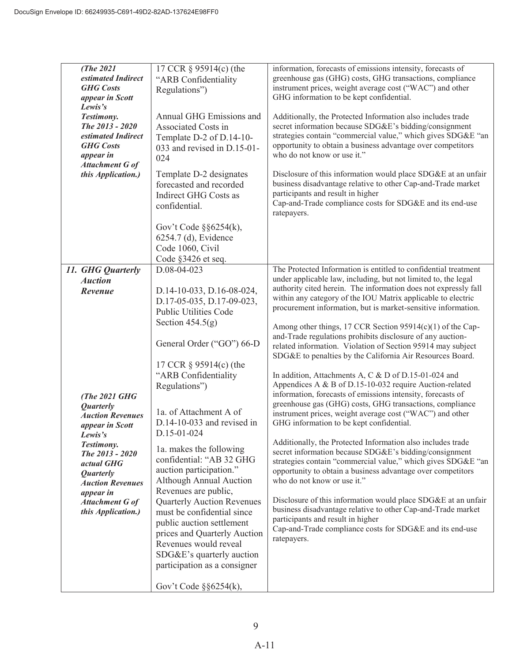| (The 2021               | 17 CCR § 95914(c) (the            | information, forecasts of emissions intensity, forecasts of     |
|-------------------------|-----------------------------------|-----------------------------------------------------------------|
| estimated Indirect      | "ARB Confidentiality              | greenhouse gas (GHG) costs, GHG transactions, compliance        |
| <b>GHG</b> Costs        | Regulations")                     | instrument prices, weight average cost ("WAC") and other        |
| appear in Scott         |                                   | GHG information to be kept confidential.                        |
| Lewis's                 |                                   |                                                                 |
| Testimony.              | Annual GHG Emissions and          | Additionally, the Protected Information also includes trade     |
| The 2013 - 2020         | Associated Costs in               | secret information because SDG&E's bidding/consignment          |
| estimated Indirect      | Template D-2 of D.14-10-          | strategies contain "commercial value," which gives SDG&E "an    |
| <b>GHG</b> Costs        | 033 and revised in D.15-01-       | opportunity to obtain a business advantage over competitors     |
| appear in               | 024                               | who do not know or use it."                                     |
| Attachment G of         |                                   |                                                                 |
| this Application.)      | Template D-2 designates           | Disclosure of this information would place SDG&E at an unfair   |
|                         | forecasted and recorded           | business disadvantage relative to other Cap-and-Trade market    |
|                         | Indirect GHG Costs as             | participants and result in higher                               |
|                         |                                   | Cap-and-Trade compliance costs for SDG&E and its end-use        |
|                         | confidential.                     | ratepayers.                                                     |
|                         |                                   |                                                                 |
|                         | Gov't Code $\S$ $\S$ 6254(k),     |                                                                 |
|                         | 6254.7 (d), Evidence              |                                                                 |
|                         | Code 1060, Civil                  |                                                                 |
|                         | Code §3426 et seq.                |                                                                 |
| 11. GHG Quarterly       | D.08-04-023                       | The Protected Information is entitled to confidential treatment |
| <b>Auction</b>          |                                   | under applicable law, including, but not limited to, the legal  |
| Revenue                 |                                   | authority cited herein. The information does not expressly fall |
|                         | D.14-10-033, D.16-08-024,         | within any category of the IOU Matrix applicable to electric    |
|                         | D.17-05-035, D.17-09-023,         | procurement information, but is market-sensitive information.   |
|                         | <b>Public Utilities Code</b>      |                                                                 |
|                         | Section $454.5(g)$                | Among other things, 17 CCR Section 95914(c)(1) of the Cap-      |
|                         |                                   | and-Trade regulations prohibits disclosure of any auction-      |
|                         | General Order ("GO") 66-D         | related information. Violation of Section 95914 may subject     |
|                         |                                   |                                                                 |
|                         |                                   | SDG&E to penalties by the California Air Resources Board.       |
|                         | 17 CCR § 95914(c) (the            |                                                                 |
|                         | "ARB Confidentiality              | In addition, Attachments A, C & D of D.15-01-024 and            |
|                         | Regulations")                     | Appendices A & B of D.15-10-032 require Auction-related         |
| (The 2021 GHG           |                                   | information, forecasts of emissions intensity, forecasts of     |
| <b>Quarterly</b>        |                                   | greenhouse gas (GHG) costs, GHG transactions, compliance        |
| <b>Auction Revenues</b> | 1a. of Attachment A of            | instrument prices, weight average cost ("WAC") and other        |
| appear in Scott         | D.14-10-033 and revised in        | GHG information to be kept confidential.                        |
| Lewis's                 | D.15-01-024                       |                                                                 |
| Testimony.              | 1a. makes the following           | Additionally, the Protected Information also includes trade     |
| The 2013 - 2020         | confidential: "AB 32 GHG          | secret information because SDG&E's bidding/consignment          |
| actual GHG              |                                   | strategies contain "commercial value," which gives SDG&E "an    |
| <b>Quarterly</b>        | auction participation."           | opportunity to obtain a business advantage over competitors     |
| <b>Auction Revenues</b> | Although Annual Auction           | who do not know or use it."                                     |
| appear in               | Revenues are public,              |                                                                 |
| Attachment G of         | <b>Quarterly Auction Revenues</b> | Disclosure of this information would place SDG&E at an unfair   |
| this Application.)      | must be confidential since        | business disadvantage relative to other Cap-and-Trade market    |
|                         | public auction settlement         | participants and result in higher                               |
|                         | prices and Quarterly Auction      | Cap-and-Trade compliance costs for SDG&E and its end-use        |
|                         | Revenues would reveal             | ratepayers.                                                     |
|                         |                                   |                                                                 |
|                         | SDG&E's quarterly auction         |                                                                 |
|                         | participation as a consigner      |                                                                 |
|                         |                                   |                                                                 |
|                         | Gov't Code $\S$ $6254(k)$ ,       |                                                                 |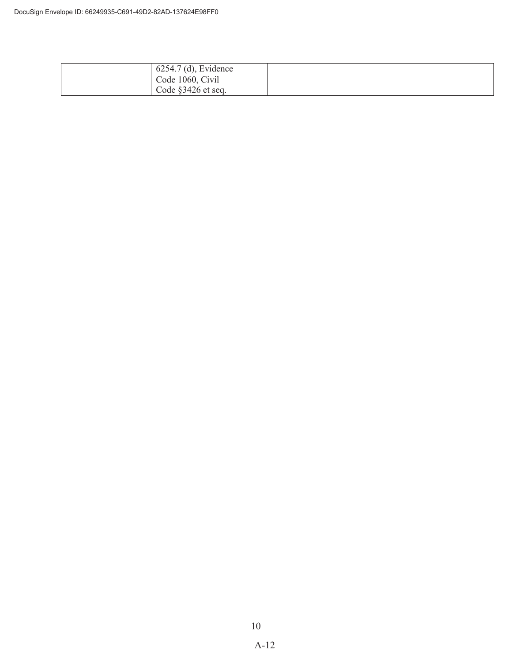| 6254.7 (d), Evidence |  |
|----------------------|--|
| Code 1060, Civil     |  |
| Code $§3426$ et seq. |  |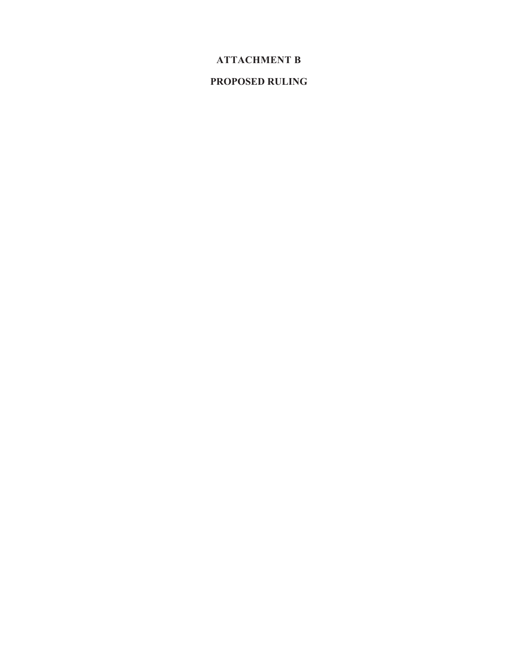## **ATTACHMENT B**

## **PROPOSED RULING**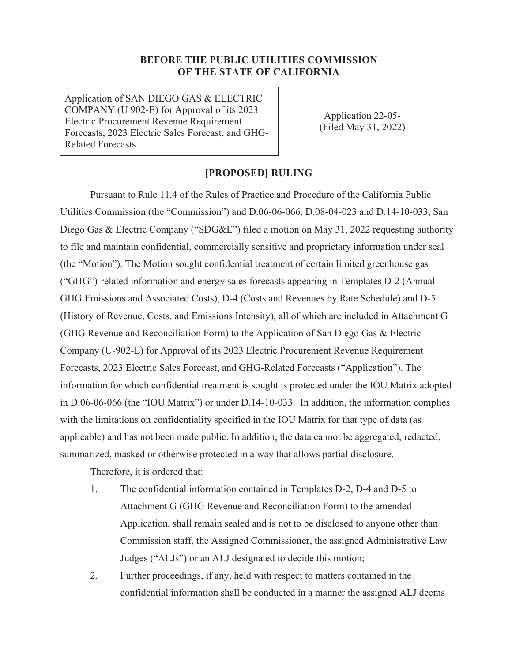Application of SAN DIEGO GAS & ELECTRIC COMPANY (U 902-E) for Approval of its 2023 Electric Procurement Revenue Requirement Forecasts, 2023 Electric Sales Forecast, and GHG-Related Forecasts

Application 22-05- (Filed May 31, 2022)

#### **[PROPOSED] RULING**

Pursuant to Rule 11.4 of the Rules of Practice and Procedure of the California Public Utilities Commission (the "Commission") and D.06-06-066, D.08-04-023 and D.14-10-033, San Diego Gas & Electric Company ("SDG&E") filed a motion on May 31, 2022 requesting authority to file and maintain confidential, commercially sensitive and proprietary information under seal (the "Motion"). The Motion sought confidential treatment of certain limited greenhouse gas ("GHG")-related information and energy sales forecasts appearing in Templates D-2 (Annual GHG Emissions and Associated Costs), D-4 (Costs and Revenues by Rate Schedule) and D-5 (History of Revenue, Costs, and Emissions Intensity), all of which are included in Attachment G (GHG Revenue and Reconciliation Form) to the Application of San Diego Gas & Electric Company (U-902-E) for Approval of its 2023 Electric Procurement Revenue Requirement Forecasts, 2023 Electric Sales Forecast, and GHG-Related Forecasts ("Application"). The information for which confidential treatment is sought is protected under the IOU Matrix adopted in D.06-06-066 (the "IOU Matrix") or under D.14-10-033. In addition, the information complies with the limitations on confidentiality specified in the IOU Matrix for that type of data (as applicable) and has not been made public. In addition, the data cannot be aggregated, redacted, summarized, masked or otherwise protected in a way that allows partial disclosure.

Therefore, it is ordered that:

- 1. The confidential information contained in Templates D-2, D-4 and D-5 to Attachment G (GHG Revenue and Reconciliation Form) to the amended Application, shall remain sealed and is not to be disclosed to anyone other than Commission staff, the Assigned Commissioner, the assigned Administrative Law Judges ("ALJs") or an ALJ designated to decide this motion;
- 2. Further proceedings, if any, held with respect to matters contained in the confidential information shall be conducted in a manner the assigned ALJ deems